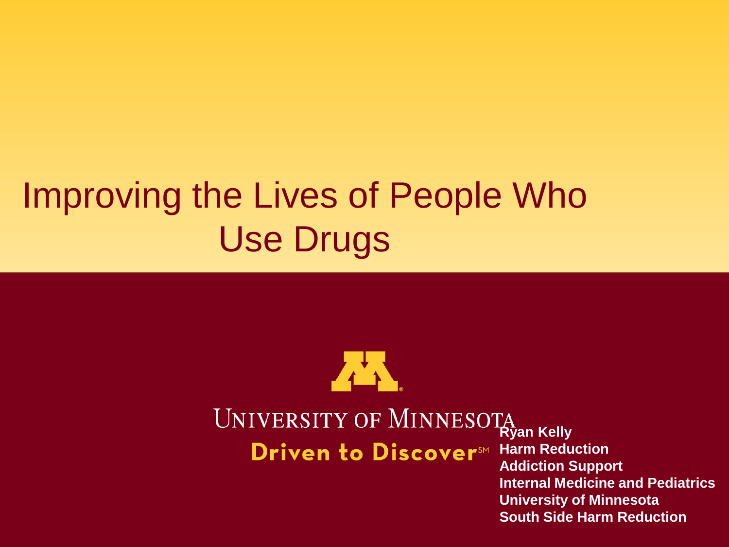### Improving the Lives of People Who Use Drugs



## UNIVERSITY OF MINNESOTA

Driven to Discover<sup>SM</sup>

**Harm Reduction Addiction Support Internal Medicine and Pediatrics University of Minnesota South Side Harm Reduction**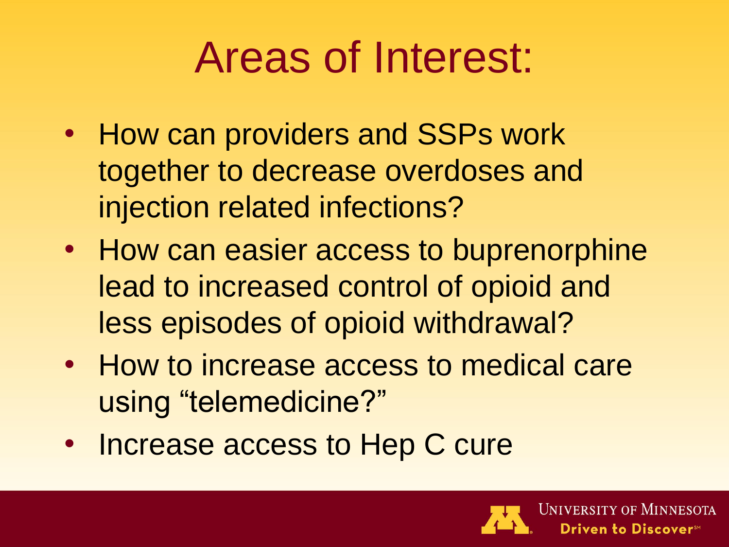### Areas of Interest:

- How can providers and SSPs work together to decrease overdoses and injection related infections?
- How can easier access to buprenorphine lead to increased control of opioid and less episodes of opioid withdrawal?
- How to increase access to medical care using "telemedicine?"
- Increase access to Hep C cure

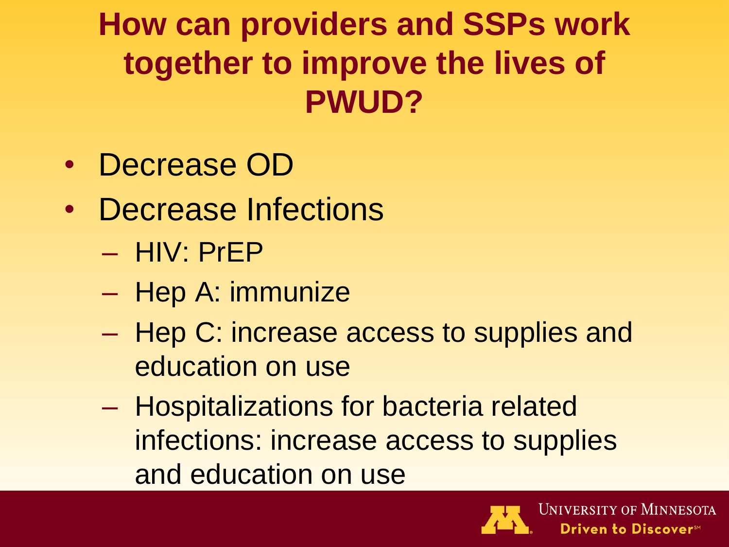**How can providers and SSPs work together to improve the lives of PWUD?**

- Decrease OD
- Decrease Infections
	- HIV: PrEP
	- Hep A: immunize
	- Hep C: increase access to supplies and education on use
	- Hospitalizations for bacteria related infections: increase access to supplies and education on use

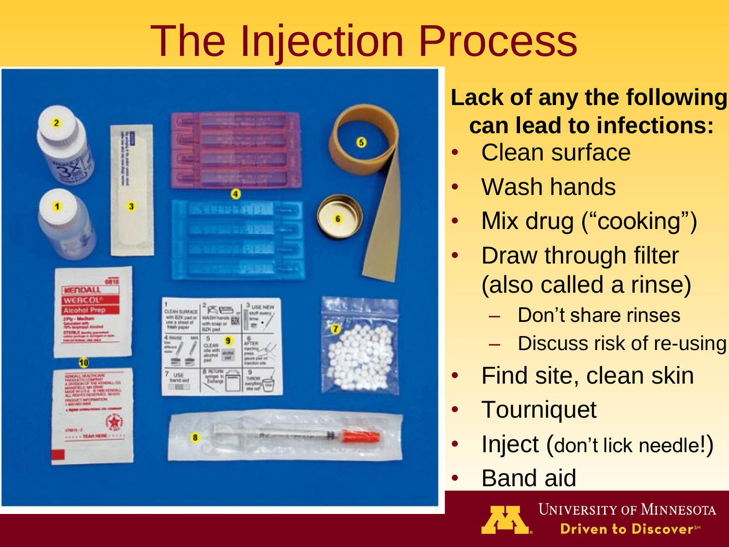# The Injection Process



### **Lack of any the following can lead to infections:**

- Clean surface
- Wash hands
- Mix drug ("cooking")
- **Draw through filter** (also called a rinse)
	- Don't share rinses
	- Discuss risk of re-using
- Find site, clean skin
- **Tourniquet**
- Inject (don't lick needle!)
- **Band aid**

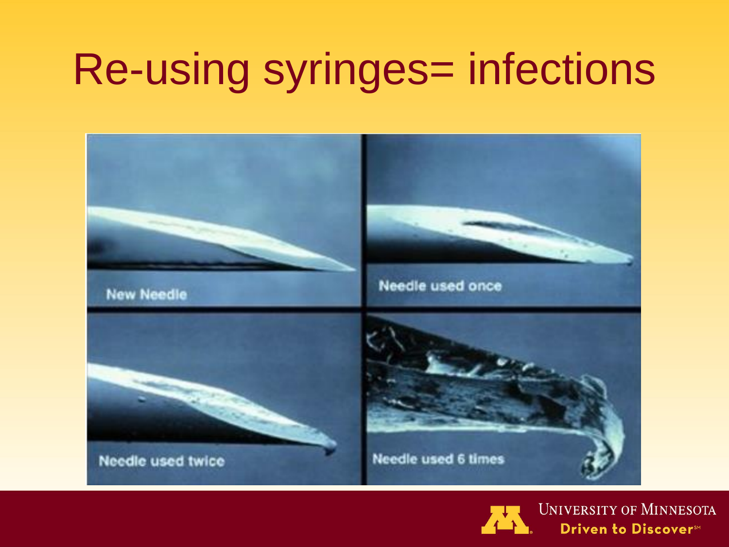## Re-using syringes= infections





**UNIVERSITY OF MINNESOTA** Driven to Discover<sup>sM</sup>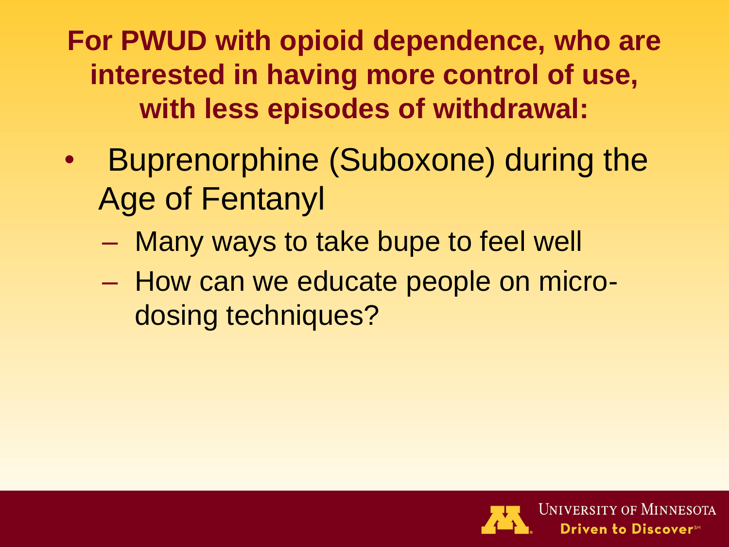**For PWUD with opioid dependence, who are interested in having more control of use, with less episodes of withdrawal:**

- Buprenorphine (Suboxone) during the Age of Fentanyl
	- Many ways to take bupe to feel well
	- How can we educate people on microdosing techniques?

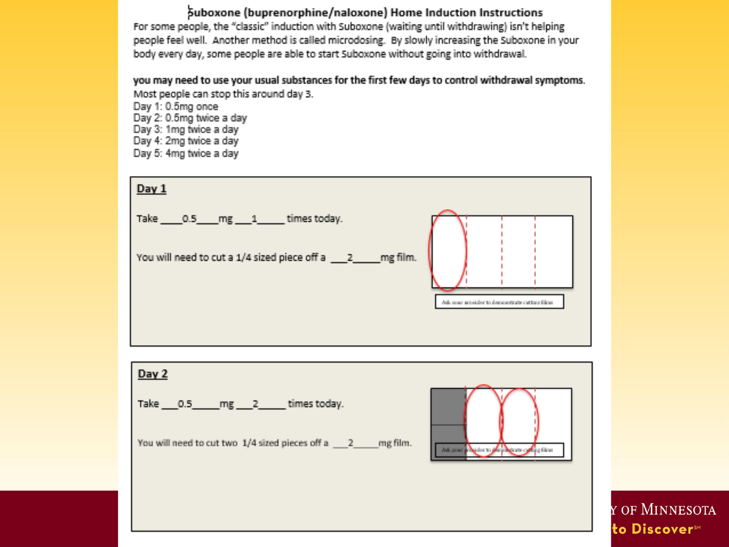#### Suboxone (buprenorphine/naloxone) Home Induction Instructions

For some people, the "classic" induction with Suboxone (waiting until withdrawing) isn't helping people feel well. Another method is called microdosing. By slowly increasing the Suboxone in your body every day, some people are able to start Suboxone without going into withdrawal.

you may need to use your usual substances for the first few days to control withdrawal symptoms. Most people can stop this around day 3.

Day 1: 0.5mg once Day 2: 0.5mg twice a day Day 3: 1mg twice a day Day 4: 2mg twice a day Day 5: 4mg twice a day

| Day 1<br>Take 0.5 mg 1 times today.<br>You will need to cut a 1/4 sized piece off a _____2 _____ mg film. | Asia most provider to demonstrate catting films |
|-----------------------------------------------------------------------------------------------------------|-------------------------------------------------|
| Day 2<br>Take 0.5 mg 2 times today.<br>You will need to cut two 1/4 sized pieces off a 2 mg film.         | Adapted a National Action of the films          |

Y OF MINNESOTA to Discover<sup>sM</sup>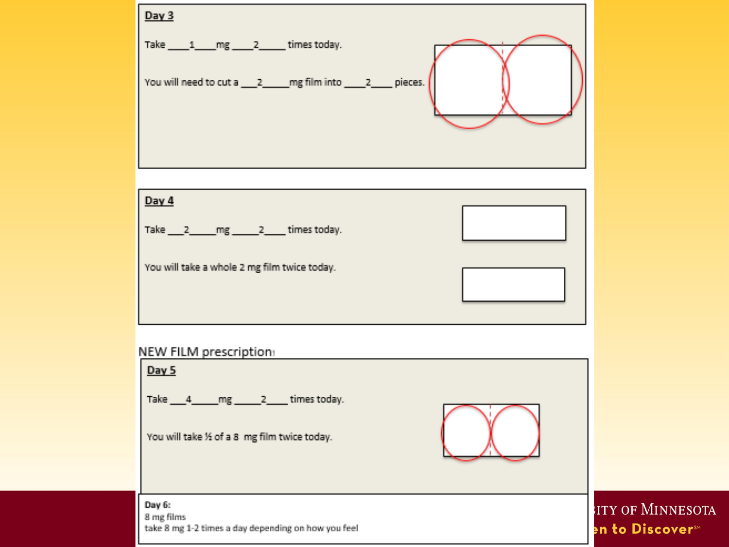| Day 3                                                                       |
|-----------------------------------------------------------------------------|
| Take $1$ mg $2$ times today.                                                |
| You will need to cut a _____2 _____ mg film into _____2 ____ pieces.        |
|                                                                             |
| Day 4                                                                       |
| Take 2_mg 2_times today.                                                    |
| You will take a whole 2 mg film twice today.                                |
|                                                                             |
| NEW FILM prescription:<br>Day 5                                             |
| Take 4 mg 2 times today.                                                    |
| You will take % of a 8 mg film twice today.                                 |
| Day 6:<br>8 mg films<br>take 8 mg 1-2 times a day depending on how you feel |

ITY OF MINNESOTA en to Discover™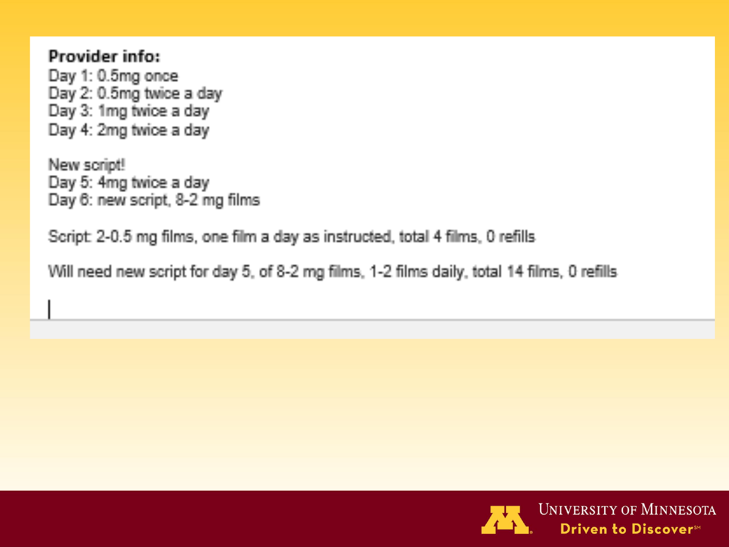#### Provider info:

Day 1: 0.5mg once Day 2: 0.5mg twice a day Day 3: 1mg twice a day Day 4: 2mg twice a day

New script! Day 5: 4mg twice a day Day 6: new script, 8-2 mg films

Script: 2-0.5 mg films, one film a day as instructed, total 4 films, 0 refills

Will need new script for day 5, of 8-2 mg films, 1-2 films daily, total 14 films, 0 refills

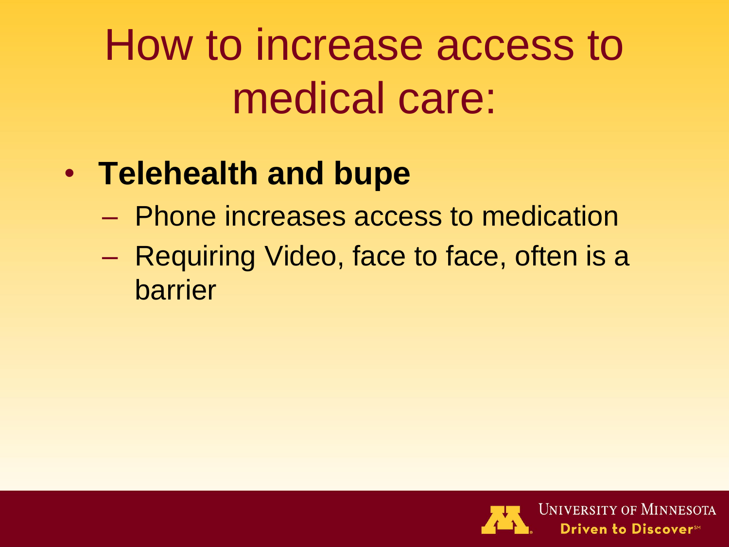# How to increase access to medical care:

### • **Telehealth and bupe**

- Phone increases access to medication
- Requiring Video, face to face, often is a barrier

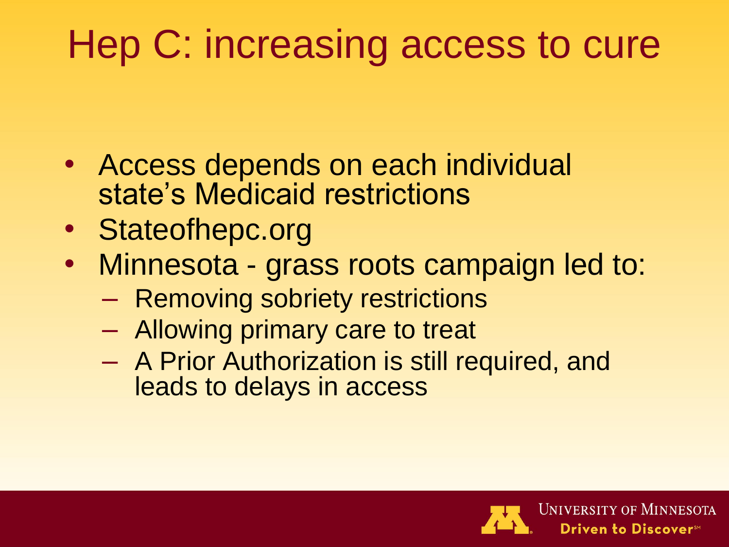### Hep C: increasing access to cure

- Access depends on each individual state's Medicaid restrictions
- Stateofhepc.org
- Minnesota grass roots campaign led to:
	- Removing sobriety restrictions
	- Allowing primary care to treat
	- A Prior Authorization is still required, and leads to delays in access